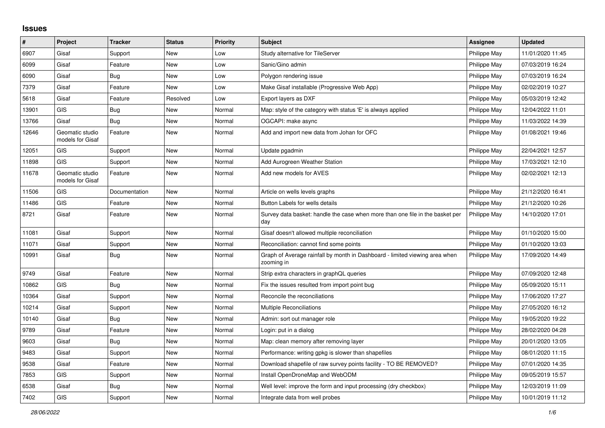## **Issues**

| $\vert$ # | Project                             | <b>Tracker</b> | <b>Status</b> | <b>Priority</b> | <b>Subject</b>                                                                            | <b>Assignee</b> | <b>Updated</b>   |
|-----------|-------------------------------------|----------------|---------------|-----------------|-------------------------------------------------------------------------------------------|-----------------|------------------|
| 6907      | Gisaf                               | Support        | New           | Low             | Study alternative for TileServer                                                          | Philippe May    | 11/01/2020 11:45 |
| 6099      | Gisaf                               | Feature        | New           | Low             | Sanic/Gino admin                                                                          | Philippe May    | 07/03/2019 16:24 |
| 6090      | Gisaf                               | Bug            | New           | Low             | Polygon rendering issue                                                                   | Philippe May    | 07/03/2019 16:24 |
| 7379      | Gisaf                               | Feature        | New           | Low             | Make Gisaf installable (Progressive Web App)                                              | Philippe May    | 02/02/2019 10:27 |
| 5618      | Gisaf                               | Feature        | Resolved      | Low             | Export layers as DXF                                                                      | Philippe May    | 05/03/2019 12:42 |
| 13901     | <b>GIS</b>                          | Bug            | New           | Normal          | Map: style of the category with status 'E' is always applied                              | Philippe May    | 12/04/2022 11:01 |
| 13766     | Gisaf                               | <b>Bug</b>     | New           | Normal          | OGCAPI: make async                                                                        | Philippe May    | 11/03/2022 14:39 |
| 12646     | Geomatic studio<br>models for Gisaf | Feature        | New           | Normal          | Add and import new data from Johan for OFC                                                | Philippe May    | 01/08/2021 19:46 |
| 12051     | <b>GIS</b>                          | Support        | New           | Normal          | Update pgadmin                                                                            | Philippe May    | 22/04/2021 12:57 |
| 11898     | <b>GIS</b>                          | Support        | New           | Normal          | Add Aurogreen Weather Station                                                             | Philippe May    | 17/03/2021 12:10 |
| 11678     | Geomatic studio<br>models for Gisaf | Feature        | New           | Normal          | Add new models for AVES                                                                   | Philippe May    | 02/02/2021 12:13 |
| 11506     | <b>GIS</b>                          | Documentation  | New           | Normal          | Article on wells levels graphs                                                            | Philippe May    | 21/12/2020 16:41 |
| 11486     | <b>GIS</b>                          | Feature        | New           | Normal          | Button Labels for wells details                                                           | Philippe May    | 21/12/2020 10:26 |
| 8721      | Gisaf                               | Feature        | New           | Normal          | Survey data basket: handle the case when more than one file in the basket per<br>day      | Philippe May    | 14/10/2020 17:01 |
| 11081     | Gisaf                               | Support        | <b>New</b>    | Normal          | Gisaf doesn't allowed multiple reconciliation                                             | Philippe May    | 01/10/2020 15:00 |
| 11071     | Gisaf                               | Support        | New           | Normal          | Reconciliation: cannot find some points                                                   | Philippe May    | 01/10/2020 13:03 |
| 10991     | Gisaf                               | Bug            | New           | Normal          | Graph of Average rainfall by month in Dashboard - limited viewing area when<br>zooming in | Philippe May    | 17/09/2020 14:49 |
| 9749      | Gisaf                               | Feature        | New           | Normal          | Strip extra characters in graphQL queries                                                 | Philippe May    | 07/09/2020 12:48 |
| 10862     | <b>GIS</b>                          | Bug            | New           | Normal          | Fix the issues resulted from import point bug                                             | Philippe May    | 05/09/2020 15:11 |
| 10364     | Gisaf                               | Support        | New           | Normal          | Reconcile the reconciliations                                                             | Philippe May    | 17/06/2020 17:27 |
| 10214     | Gisaf                               | Support        | New           | Normal          | <b>Multiple Reconciliations</b>                                                           | Philippe May    | 27/05/2020 16:12 |
| 10140     | Gisaf                               | Bug            | New           | Normal          | Admin: sort out manager role                                                              | Philippe May    | 19/05/2020 19:22 |
| 9789      | Gisaf                               | Feature        | New           | Normal          | Login: put in a dialog                                                                    | Philippe May    | 28/02/2020 04:28 |
| 9603      | Gisaf                               | Bug            | New           | Normal          | Map: clean memory after removing layer                                                    | Philippe May    | 20/01/2020 13:05 |
| 9483      | Gisaf                               | Support        | New           | Normal          | Performance: writing gpkg is slower than shapefiles                                       | Philippe May    | 08/01/2020 11:15 |
| 9538      | Gisaf                               | Feature        | New           | Normal          | Download shapefile of raw survey points facility - TO BE REMOVED?                         | Philippe May    | 07/01/2020 14:35 |
| 7853      | <b>GIS</b>                          | Support        | New           | Normal          | Install OpenDroneMap and WebODM                                                           | Philippe May    | 09/05/2019 15:57 |
| 6538      | Gisaf                               | <b>Bug</b>     | New           | Normal          | Well level: improve the form and input processing (dry checkbox)                          | Philippe May    | 12/03/2019 11:09 |
| 7402      | <b>GIS</b>                          | Support        | New           | Normal          | Integrate data from well probes                                                           | Philippe May    | 10/01/2019 11:12 |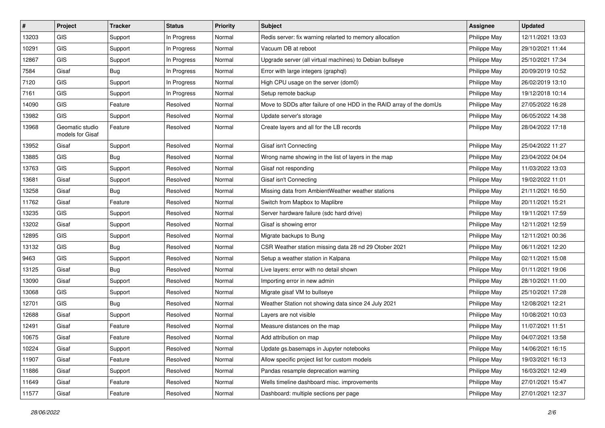| $\sharp$ | Project                             | <b>Tracker</b> | <b>Status</b> | <b>Priority</b> | <b>Subject</b>                                                       | <b>Assignee</b> | <b>Updated</b>   |
|----------|-------------------------------------|----------------|---------------|-----------------|----------------------------------------------------------------------|-----------------|------------------|
| 13203    | <b>GIS</b>                          | Support        | In Progress   | Normal          | Redis server: fix warning relarted to memory allocation              | Philippe May    | 12/11/2021 13:03 |
| 10291    | <b>GIS</b>                          | Support        | In Progress   | Normal          | Vacuum DB at reboot                                                  | Philippe May    | 29/10/2021 11:44 |
| 12867    | GIS                                 | Support        | In Progress   | Normal          | Upgrade server (all virtual machines) to Debian bullseye             | Philippe May    | 25/10/2021 17:34 |
| 7584     | Gisaf                               | <b>Bug</b>     | In Progress   | Normal          | Error with large integers (graphql)                                  | Philippe May    | 20/09/2019 10:52 |
| 7120     | <b>GIS</b>                          | Support        | In Progress   | Normal          | High CPU usage on the server (dom0)                                  | Philippe May    | 26/02/2019 13:10 |
| 7161     | <b>GIS</b>                          | Support        | In Progress   | Normal          | Setup remote backup                                                  | Philippe May    | 19/12/2018 10:14 |
| 14090    | GIS                                 | Feature        | Resolved      | Normal          | Move to SDDs after failure of one HDD in the RAID array of the domUs | Philippe May    | 27/05/2022 16:28 |
| 13982    | GIS                                 | Support        | Resolved      | Normal          | Update server's storage                                              | Philippe May    | 06/05/2022 14:38 |
| 13968    | Geomatic studio<br>models for Gisaf | Feature        | Resolved      | Normal          | Create layers and all for the LB records                             | Philippe May    | 28/04/2022 17:18 |
| 13952    | Gisaf                               | Support        | Resolved      | Normal          | Gisaf isn't Connecting                                               | Philippe May    | 25/04/2022 11:27 |
| 13885    | GIS                                 | <b>Bug</b>     | Resolved      | Normal          | Wrong name showing in the list of layers in the map                  | Philippe May    | 23/04/2022 04:04 |
| 13763    | <b>GIS</b>                          | Support        | Resolved      | Normal          | Gisaf not responding                                                 | Philippe May    | 11/03/2022 13:03 |
| 13681    | Gisaf                               | Support        | Resolved      | Normal          | Gisaf isn't Connecting                                               | Philippe May    | 19/02/2022 11:01 |
| 13258    | Gisaf                               | <b>Bug</b>     | Resolved      | Normal          | Missing data from AmbientWeather weather stations                    | Philippe May    | 21/11/2021 16:50 |
| 11762    | Gisaf                               | Feature        | Resolved      | Normal          | Switch from Mapbox to Maplibre                                       | Philippe May    | 20/11/2021 15:21 |
| 13235    | GIS                                 | Support        | Resolved      | Normal          | Server hardware failure (sdc hard drive)                             | Philippe May    | 19/11/2021 17:59 |
| 13202    | Gisaf                               | Support        | Resolved      | Normal          | Gisaf is showing error                                               | Philippe May    | 12/11/2021 12:59 |
| 12895    | GIS                                 | Support        | Resolved      | Normal          | Migrate backups to Bung                                              | Philippe May    | 12/11/2021 00:36 |
| 13132    | GIS                                 | <b>Bug</b>     | Resolved      | Normal          | CSR Weather station missing data 28 nd 29 Otober 2021                | Philippe May    | 06/11/2021 12:20 |
| 9463     | GIS                                 | Support        | Resolved      | Normal          | Setup a weather station in Kalpana                                   | Philippe May    | 02/11/2021 15:08 |
| 13125    | Gisaf                               | Bug            | Resolved      | Normal          | Live layers: error with no detail shown                              | Philippe May    | 01/11/2021 19:06 |
| 13090    | Gisaf                               | Support        | Resolved      | Normal          | Importing error in new admin                                         | Philippe May    | 28/10/2021 11:00 |
| 13068    | GIS                                 | Support        | Resolved      | Normal          | Migrate gisaf VM to bullseye                                         | Philippe May    | 25/10/2021 17:28 |
| 12701    | GIS                                 | <b>Bug</b>     | Resolved      | Normal          | Weather Station not showing data since 24 July 2021                  | Philippe May    | 12/08/2021 12:21 |
| 12688    | Gisaf                               | Support        | Resolved      | Normal          | Layers are not visible                                               | Philippe May    | 10/08/2021 10:03 |
| 12491    | Gisaf                               | Feature        | Resolved      | Normal          | Measure distances on the map                                         | Philippe May    | 11/07/2021 11:51 |
| 10675    | Gisaf                               | Feature        | Resolved      | Normal          | Add attribution on map                                               | Philippe May    | 04/07/2021 13:58 |
| 10224    | Gisaf                               | Support        | Resolved      | Normal          | Update gs.basemaps in Jupyter notebooks                              | Philippe May    | 14/06/2021 16:15 |
| 11907    | Gisaf                               | Feature        | Resolved      | Normal          | Allow specific project list for custom models                        | Philippe May    | 19/03/2021 16:13 |
| 11886    | Gisaf                               | Support        | Resolved      | Normal          | Pandas resample deprecation warning                                  | Philippe May    | 16/03/2021 12:49 |
| 11649    | Gisaf                               | Feature        | Resolved      | Normal          | Wells timeline dashboard misc. improvements                          | Philippe May    | 27/01/2021 15:47 |
| 11577    | Gisaf                               | Feature        | Resolved      | Normal          | Dashboard: multiple sections per page                                | Philippe May    | 27/01/2021 12:37 |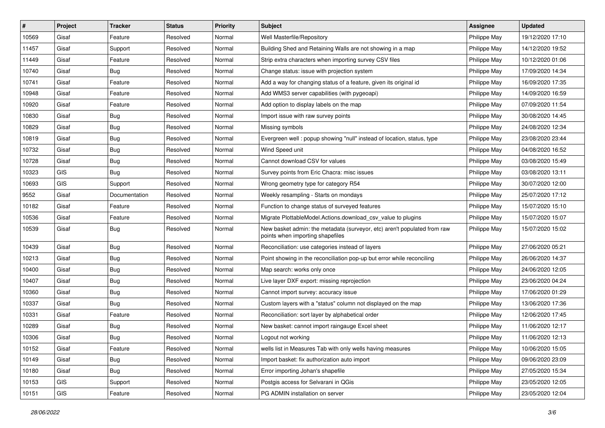| $\sharp$ | Project | <b>Tracker</b> | <b>Status</b> | <b>Priority</b> | <b>Subject</b>                                                                                               | <b>Assignee</b> | <b>Updated</b>   |
|----------|---------|----------------|---------------|-----------------|--------------------------------------------------------------------------------------------------------------|-----------------|------------------|
| 10569    | Gisaf   | Feature        | Resolved      | Normal          | Well Masterfile/Repository                                                                                   | Philippe May    | 19/12/2020 17:10 |
| 11457    | Gisaf   | Support        | Resolved      | Normal          | Building Shed and Retaining Walls are not showing in a map                                                   | Philippe May    | 14/12/2020 19:52 |
| 11449    | Gisaf   | Feature        | Resolved      | Normal          | Strip extra characters when importing survey CSV files                                                       | Philippe May    | 10/12/2020 01:06 |
| 10740    | Gisaf   | <b>Bug</b>     | Resolved      | Normal          | Change status: issue with projection system                                                                  | Philippe May    | 17/09/2020 14:34 |
| 10741    | Gisaf   | Feature        | Resolved      | Normal          | Add a way for changing status of a feature, given its original id                                            | Philippe May    | 16/09/2020 17:35 |
| 10948    | Gisaf   | Feature        | Resolved      | Normal          | Add WMS3 server capabilities (with pygeoapi)                                                                 | Philippe May    | 14/09/2020 16:59 |
| 10920    | Gisaf   | Feature        | Resolved      | Normal          | Add option to display labels on the map                                                                      | Philippe May    | 07/09/2020 11:54 |
| 10830    | Gisaf   | <b>Bug</b>     | Resolved      | Normal          | Import issue with raw survey points                                                                          | Philippe May    | 30/08/2020 14:45 |
| 10829    | Gisaf   | <b>Bug</b>     | Resolved      | Normal          | Missing symbols                                                                                              | Philippe May    | 24/08/2020 12:34 |
| 10819    | Gisaf   | Bug            | Resolved      | Normal          | Evergreen well : popup showing "null" instead of location, status, type                                      | Philippe May    | 23/08/2020 23:44 |
| 10732    | Gisaf   | <b>Bug</b>     | Resolved      | Normal          | Wind Speed unit                                                                                              | Philippe May    | 04/08/2020 16:52 |
| 10728    | Gisaf   | <b>Bug</b>     | Resolved      | Normal          | Cannot download CSV for values                                                                               | Philippe May    | 03/08/2020 15:49 |
| 10323    | GIS     | Bug            | Resolved      | Normal          | Survey points from Eric Chacra: misc issues                                                                  | Philippe May    | 03/08/2020 13:11 |
| 10693    | GIS     | Support        | Resolved      | Normal          | Wrong geometry type for category R54                                                                         | Philippe May    | 30/07/2020 12:00 |
| 9552     | Gisaf   | Documentation  | Resolved      | Normal          | Weekly resampling - Starts on mondays                                                                        | Philippe May    | 25/07/2020 17:12 |
| 10182    | Gisaf   | Feature        | Resolved      | Normal          | Function to change status of surveyed features                                                               | Philippe May    | 15/07/2020 15:10 |
| 10536    | Gisaf   | Feature        | Resolved      | Normal          | Migrate PlottableModel.Actions.download_csv_value to plugins                                                 | Philippe May    | 15/07/2020 15:07 |
| 10539    | Gisaf   | <b>Bug</b>     | Resolved      | Normal          | New basket admin: the metadata (surveyor, etc) aren't populated from raw<br>points when importing shapefiles | Philippe May    | 15/07/2020 15:02 |
| 10439    | Gisaf   | Bug            | Resolved      | Normal          | Reconciliation: use categories instead of layers                                                             | Philippe May    | 27/06/2020 05:21 |
| 10213    | Gisaf   | <b>Bug</b>     | Resolved      | Normal          | Point showing in the reconciliation pop-up but error while reconciling                                       | Philippe May    | 26/06/2020 14:37 |
| 10400    | Gisaf   | <b>Bug</b>     | Resolved      | Normal          | Map search: works only once                                                                                  | Philippe May    | 24/06/2020 12:05 |
| 10407    | Gisaf   | Bug            | Resolved      | Normal          | Live layer DXF export: missing reprojection                                                                  | Philippe May    | 23/06/2020 04:24 |
| 10360    | Gisaf   | <b>Bug</b>     | Resolved      | Normal          | Cannot import survey: accuracy issue                                                                         | Philippe May    | 17/06/2020 01:29 |
| 10337    | Gisaf   | <b>Bug</b>     | Resolved      | Normal          | Custom layers with a "status" column not displayed on the map                                                | Philippe May    | 13/06/2020 17:36 |
| 10331    | Gisaf   | Feature        | Resolved      | Normal          | Reconciliation: sort layer by alphabetical order                                                             | Philippe May    | 12/06/2020 17:45 |
| 10289    | Gisaf   | <b>Bug</b>     | Resolved      | Normal          | New basket: cannot import raingauge Excel sheet                                                              | Philippe May    | 11/06/2020 12:17 |
| 10306    | Gisaf   | <b>Bug</b>     | Resolved      | Normal          | Logout not working                                                                                           | Philippe May    | 11/06/2020 12:13 |
| 10152    | Gisaf   | Feature        | Resolved      | Normal          | wells list in Measures Tab with only wells having measures                                                   | Philippe May    | 10/06/2020 15:05 |
| 10149    | Gisaf   | <b>Bug</b>     | Resolved      | Normal          | Import basket: fix authorization auto import                                                                 | Philippe May    | 09/06/2020 23:09 |
| 10180    | Gisaf   | <b>Bug</b>     | Resolved      | Normal          | Error importing Johan's shapefile                                                                            | Philippe May    | 27/05/2020 15:34 |
| 10153    | GIS     | Support        | Resolved      | Normal          | Postgis access for Selvarani in QGis                                                                         | Philippe May    | 23/05/2020 12:05 |
| 10151    | GIS     | Feature        | Resolved      | Normal          | PG ADMIN installation on server                                                                              | Philippe May    | 23/05/2020 12:04 |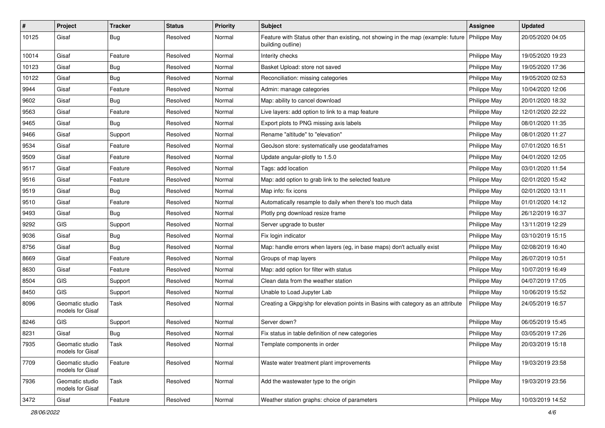| #     | Project                             | <b>Tracker</b> | <b>Status</b> | <b>Priority</b> | Subject                                                                                               | <b>Assignee</b> | <b>Updated</b>   |
|-------|-------------------------------------|----------------|---------------|-----------------|-------------------------------------------------------------------------------------------------------|-----------------|------------------|
| 10125 | Gisaf                               | <b>Bug</b>     | Resolved      | Normal          | Feature with Status other than existing, not showing in the map (example: future<br>building outline) | Philippe May    | 20/05/2020 04:05 |
| 10014 | Gisaf                               | Feature        | Resolved      | Normal          | Interity checks                                                                                       | Philippe May    | 19/05/2020 19:23 |
| 10123 | Gisaf                               | <b>Bug</b>     | Resolved      | Normal          | Basket Upload: store not saved                                                                        | Philippe May    | 19/05/2020 17:36 |
| 10122 | Gisaf                               | Bug            | Resolved      | Normal          | Reconciliation: missing categories                                                                    | Philippe May    | 19/05/2020 02:53 |
| 9944  | Gisaf                               | Feature        | Resolved      | Normal          | Admin: manage categories                                                                              | Philippe May    | 10/04/2020 12:06 |
| 9602  | Gisaf                               | Bug            | Resolved      | Normal          | Map: ability to cancel download                                                                       | Philippe May    | 20/01/2020 18:32 |
| 9563  | Gisaf                               | Feature        | Resolved      | Normal          | Live layers: add option to link to a map feature                                                      | Philippe May    | 12/01/2020 22:22 |
| 9465  | Gisaf                               | <b>Bug</b>     | Resolved      | Normal          | Export plots to PNG missing axis labels                                                               | Philippe May    | 08/01/2020 11:35 |
| 9466  | Gisaf                               | Support        | Resolved      | Normal          | Rename "altitude" to "elevation"                                                                      | Philippe May    | 08/01/2020 11:27 |
| 9534  | Gisaf                               | Feature        | Resolved      | Normal          | GeoJson store: systematically use geodataframes                                                       | Philippe May    | 07/01/2020 16:51 |
| 9509  | Gisaf                               | Feature        | Resolved      | Normal          | Update angular-plotly to 1.5.0                                                                        | Philippe May    | 04/01/2020 12:05 |
| 9517  | Gisaf                               | Feature        | Resolved      | Normal          | Tags: add location                                                                                    | Philippe May    | 03/01/2020 11:54 |
| 9516  | Gisaf                               | Feature        | Resolved      | Normal          | Map: add option to grab link to the selected feature                                                  | Philippe May    | 02/01/2020 15:42 |
| 9519  | Gisaf                               | Bug            | Resolved      | Normal          | Map info: fix icons                                                                                   | Philippe May    | 02/01/2020 13:11 |
| 9510  | Gisaf                               | Feature        | Resolved      | Normal          | Automatically resample to daily when there's too much data                                            | Philippe May    | 01/01/2020 14:12 |
| 9493  | Gisaf                               | <b>Bug</b>     | Resolved      | Normal          | Plotly png download resize frame                                                                      | Philippe May    | 26/12/2019 16:37 |
| 9292  | GIS                                 | Support        | Resolved      | Normal          | Server upgrade to buster                                                                              | Philippe May    | 13/11/2019 12:29 |
| 9036  | Gisaf                               | <b>Bug</b>     | Resolved      | Normal          | Fix login indicator                                                                                   | Philippe May    | 03/10/2019 15:15 |
| 8756  | Gisaf                               | Bug            | Resolved      | Normal          | Map: handle errors when layers (eg, in base maps) don't actually exist                                | Philippe May    | 02/08/2019 16:40 |
| 8669  | Gisaf                               | Feature        | Resolved      | Normal          | Groups of map layers                                                                                  | Philippe May    | 26/07/2019 10:51 |
| 8630  | Gisaf                               | Feature        | Resolved      | Normal          | Map: add option for filter with status                                                                | Philippe May    | 10/07/2019 16:49 |
| 8504  | GIS                                 | Support        | Resolved      | Normal          | Clean data from the weather station                                                                   | Philippe May    | 04/07/2019 17:05 |
| 8450  | GIS                                 | Support        | Resolved      | Normal          | Unable to Load Jupyter Lab                                                                            | Philippe May    | 10/06/2019 15:52 |
| 8096  | Geomatic studio<br>models for Gisaf | Task           | Resolved      | Normal          | Creating a Gkpg/shp for elevation points in Basins with category as an attribute                      | Philippe May    | 24/05/2019 16:57 |
| 8246  | GIS                                 | Support        | Resolved      | Normal          | Server down?                                                                                          | Philippe May    | 06/05/2019 15:45 |
| 8231  | Gisaf                               | <b>Bug</b>     | Resolved      | Normal          | Fix status in table definition of new categories                                                      | Philippe May    | 03/05/2019 17:26 |
| 7935  | Geomatic studio<br>models for Gisaf | Task           | Resolved      | Normal          | Template components in order                                                                          | Philippe May    | 20/03/2019 15:18 |
| 7709  | Geomatic studio<br>models for Gisaf | Feature        | Resolved      | Normal          | Waste water treatment plant improvements                                                              | Philippe May    | 19/03/2019 23:58 |
| 7936  | Geomatic studio<br>models for Gisaf | Task           | Resolved      | Normal          | Add the wastewater type to the origin                                                                 | Philippe May    | 19/03/2019 23:56 |
| 3472  | Gisaf                               | Feature        | Resolved      | Normal          | Weather station graphs: choice of parameters                                                          | Philippe May    | 10/03/2019 14:52 |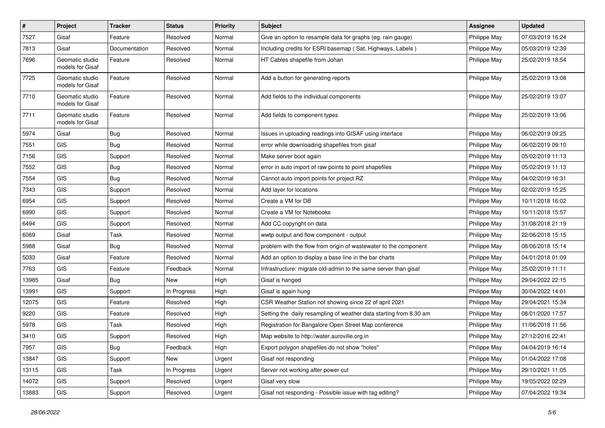| $\sharp$ | Project                             | <b>Tracker</b> | <b>Status</b> | <b>Priority</b> | <b>Subject</b>                                                     | Assignee     | <b>Updated</b>   |
|----------|-------------------------------------|----------------|---------------|-----------------|--------------------------------------------------------------------|--------------|------------------|
| 7527     | Gisaf                               | Feature        | Resolved      | Normal          | Give an option to resample data for graphs (eg. rain gauge)        | Philippe May | 07/03/2019 16:24 |
| 7813     | Gisaf                               | Documentation  | Resolved      | Normal          | Including credits for ESRI basemap (Sat, Highways, Labels)         | Philippe May | 05/03/2019 12:39 |
| 7696     | Geomatic studio<br>models for Gisaf | Feature        | Resolved      | Normal          | HT Cables shapefile from Johan                                     | Philippe May | 25/02/2019 18:54 |
| 7725     | Geomatic studio<br>models for Gisaf | Feature        | Resolved      | Normal          | Add a button for generating reports                                | Philippe May | 25/02/2019 13:08 |
| 7710     | Geomatic studio<br>models for Gisaf | Feature        | Resolved      | Normal          | Add fields to the individual components                            | Philippe May | 25/02/2019 13:07 |
| 7711     | Geomatic studio<br>models for Gisaf | Feature        | Resolved      | Normal          | Add fields to component types                                      | Philippe May | 25/02/2019 13:06 |
| 5974     | Gisaf                               | <b>Bug</b>     | Resolved      | Normal          | Issues in uploading readings into GISAF using interface            | Philippe May | 06/02/2019 09:25 |
| 7551     | <b>GIS</b>                          | <b>Bug</b>     | Resolved      | Normal          | error while downloading shapefiles from gisaf                      | Philippe May | 06/02/2019 09:10 |
| 7156     | GIS                                 | Support        | Resolved      | Normal          | Make server boot again                                             | Philippe May | 05/02/2019 11:13 |
| 7552     | <b>GIS</b>                          | <b>Bug</b>     | Resolved      | Normal          | error in auto import of raw points to point shapefiles             | Philippe May | 05/02/2019 11:13 |
| 7554     | GIS                                 | Bug            | Resolved      | Normal          | Cannot auto import points for project RZ                           | Philippe May | 04/02/2019 16:31 |
| 7343     | <b>GIS</b>                          | Support        | Resolved      | Normal          | Add layer for locations                                            | Philippe May | 02/02/2019 15:25 |
| 6954     | GIS                                 | Support        | Resolved      | Normal          | Create a VM for DB                                                 | Philippe May | 10/11/2018 16:02 |
| 6990     | GIS                                 | Support        | Resolved      | Normal          | Create a VM for Notebooks                                          | Philippe May | 10/11/2018 15:57 |
| 6494     | <b>GIS</b>                          | Support        | Resolved      | Normal          | Add CC copyright on data                                           | Philippe May | 31/08/2018 21:19 |
| 6069     | Gisaf                               | Task           | Resolved      | Normal          | wwtp output and flow component - output                            | Philippe May | 22/06/2018 15:15 |
| 5988     | Gisaf                               | Bug            | Resolved      | Normal          | problem with the flow from origin of wastewater to the component   | Philippe May | 08/06/2018 15:14 |
| 5033     | Gisaf                               | Feature        | Resolved      | Normal          | Add an option to display a base line in the bar charts             | Philippe May | 04/01/2018 01:09 |
| 7763     | <b>GIS</b>                          | Feature        | Feedback      | Normal          | Infrastructure: migrate old-admin to the same server than gisaf    | Philippe May | 25/02/2019 11:11 |
| 13985    | Gisaf                               | <b>Bug</b>     | New           | High            | Gisaf is hanged                                                    | Philippe May | 29/04/2022 22:15 |
| 13991    | <b>GIS</b>                          | Support        | In Progress   | High            | Gisaf is again hung                                                | Philippe May | 30/04/2022 14:01 |
| 12075    | GIS                                 | Feature        | Resolved      | High            | CSR Weather Station not showing since 22 of april 2021             | Philippe May | 29/04/2021 15:34 |
| 9220     | <b>GIS</b>                          | Feature        | Resolved      | High            | Setting the daily resampling of weather data starting from 8.30 am | Philippe May | 08/01/2020 17:57 |
| 5978     | GIS                                 | Task           | Resolved      | High            | Registration for Bangalore Open Street Map conference              | Philippe May | 11/06/2018 11:56 |
| 3410     | GIS                                 | Support        | Resolved      | High            | Map website to http://water.auroville.org.in                       | Philippe May | 27/12/2016 22:41 |
| 7957     | GIS                                 | <b>Bug</b>     | Feedback      | High            | Export polygon shapefiles do not show "holes"                      | Philippe May | 04/04/2019 16:14 |
| 13847    | GIS                                 | Support        | New           | Urgent          | Gisaf not responding                                               | Philippe May | 01/04/2022 17:08 |
| 13115    | GIS                                 | Task           | In Progress   | Urgent          | Server not working after power cut                                 | Philippe May | 29/10/2021 11:05 |
| 14072    | GIS                                 | Support        | Resolved      | Urgent          | Gisaf very slow                                                    | Philippe May | 19/05/2022 02:29 |
| 13883    | GIS                                 | Support        | Resolved      | Urgent          | Gisaf not responding - Possible issue with tag editing?            | Philippe May | 07/04/2022 19:34 |